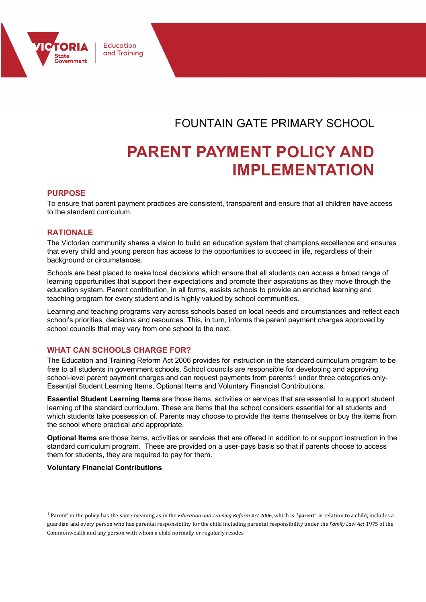

Education and Training

FOUNTAIN GATE PRIMARY SCHOOL

# **PARENT PAYMENT POLICY AND IMPLEMENTATION**

# **PURPOSE**

To ensure that parent payment practices are consistent, transparent and ensure that all children have access to the standard curriculum.

## **RATIONALE**

The Victorian community shares a vision to build an education system that champions excellence and ensures that every child and young person has access to the opportunities to succeed in life, regardless of their background or circumstances.

Schools are best placed to make local decisions which ensure that all students can access a broad range of learning opportunities that support their expectations and promote their aspirations as they move through the education system. Parent contribution, in all forms, assists schools to provide an enriched learning and teaching program for every student and is highly valued by school communities.

Learning and teaching programs vary across schools based on local needs and circumstances and reflect each school's priorities, decisions and resources. This, in turn, informs the parent payment charges approved by school councils that may vary from one school to the next.

### **WHAT CAN SCHOOLS CHARGE FOR?**

The Education and Training Reform Act 2006 provides for instruction in the standard curriculum program to be free to all students in government schools. School councils are responsible for developing and approving school-level parent payment charges and can request payments from parents1 under three categories only-Essential Student Learning Items, Optional Items and Voluntary Financial Contributions.

**Essential Student Learning Items** are those items, activities or services that are essential to support student learning of the standard curriculum. These are items that the school considers essential for all students and which students take possession of. Parents may choose to provide the items themselves or buy the items from the school where practical and appropriate.

**Optional Items** are those items, activities or services that are offered in addition to or support instruction in the standard curriculum program. These are provided on a user-pays basis so that if parents choose to access them for students, they are required to pay for them.

#### **Voluntary Financial Contributions**

<sup>&</sup>lt;sup>1</sup> Parent' in the policy has the same meaning as in the *Education and Training Reform Act 2006*, which is: 'parent', in relation to a child, includes a guardian and every person who has parental responsibility for the child including parental responsibility under the *Family Law Act* 1975 of the Commonwealth and any person with whom a child normally or regularly resides.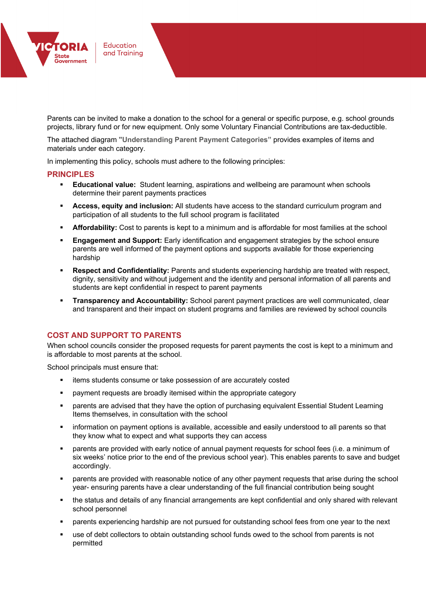

Parents can be invited to make a donation to the school for a general or specific purpose, e.g. school grounds projects, library fund or for new equipment. Only some Voluntary Financial Contributions are tax-deductible.

The attached diagram **"Understanding Parent Payment Categories"** provides examples of items and materials under each category.

In implementing this policy, schools must adhere to the following principles:

#### **PRINCIPLES**

- § **Educational value:** Student learning, aspirations and wellbeing are paramount when schools determine their parent payments practices
- § **Access, equity and inclusion:** All students have access to the standard curriculum program and participation of all students to the full school program is facilitated
- **Affordability:** Cost to parents is kept to a minimum and is affordable for most families at the school
- **Engagement and Support:** Early identification and engagement strategies by the school ensure parents are well informed of the payment options and supports available for those experiencing hardship
- **Respect and Confidentiality:** Parents and students experiencing hardship are treated with respect, dignity, sensitivity and without judgement and the identity and personal information of all parents and students are kept confidential in respect to parent payments
- **Transparency and Accountability:** School parent payment practices are well communicated, clear and transparent and their impact on student programs and families are reviewed by school councils

### **COST AND SUPPORT TO PARENTS**

When school councils consider the proposed requests for parent payments the cost is kept to a minimum and is affordable to most parents at the school.

School principals must ensure that:

- items students consume or take possession of are accurately costed
- payment requests are broadly itemised within the appropriate category
- parents are advised that they have the option of purchasing equivalent Essential Student Learning Items themselves, in consultation with the school
- information on payment options is available, accessible and easily understood to all parents so that they know what to expect and what supports they can access
- parents are provided with early notice of annual payment requests for school fees (i.e. a minimum of six weeks' notice prior to the end of the previous school year). This enables parents to save and budget accordingly.
- § parents are provided with reasonable notice of any other payment requests that arise during the school year- ensuring parents have a clear understanding of the full financial contribution being sought
- the status and details of any financial arrangements are kept confidential and only shared with relevant school personnel
- parents experiencing hardship are not pursued for outstanding school fees from one year to the next
- use of debt collectors to obtain outstanding school funds owed to the school from parents is not permitted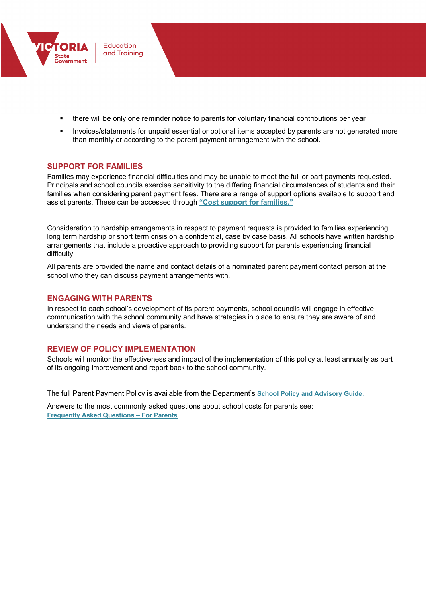

- there will be only one reminder notice to parents for voluntary financial contributions per year
- Invoices/statements for unpaid essential or optional items accepted by parents are not generated more than monthly or according to the parent payment arrangement with the school.

# **SUPPORT FOR FAMILIES**

Families may experience financial difficulties and may be unable to meet the full or part payments requested. Principals and school councils exercise sensitivity to the differing financial circumstances of students and their families when considering parent payment fees. There are a range of support options available to support and assist parents. These can be accessed through **"Cost support for families."**

Consideration to hardship arrangements in respect to payment requests is provided to families experiencing long term hardship or short term crisis on a confidential, case by case basis. All schools have written hardship arrangements that include a proactive approach to providing support for parents experiencing financial difficulty.

All parents are provided the name and contact details of a nominated parent payment contact person at the school who they can discuss payment arrangements with.

# **ENGAGING WITH PARENTS**

In respect to each school's development of its parent payments, school councils will engage in effective communication with the school community and have strategies in place to ensure they are aware of and understand the needs and views of parents.

# **REVIEW OF POLICY IMPLEMENTATION**

Schools will monitor the effectiveness and impact of the implementation of this policy at least annually as part of its ongoing improvement and report back to the school community.

The full Parent Payment Policy is available from the Department's **School Policy and Advisory Guide.**

Answers to the most commonly asked questions about school costs for parents see: **Frequently Asked Questions – For Parents**